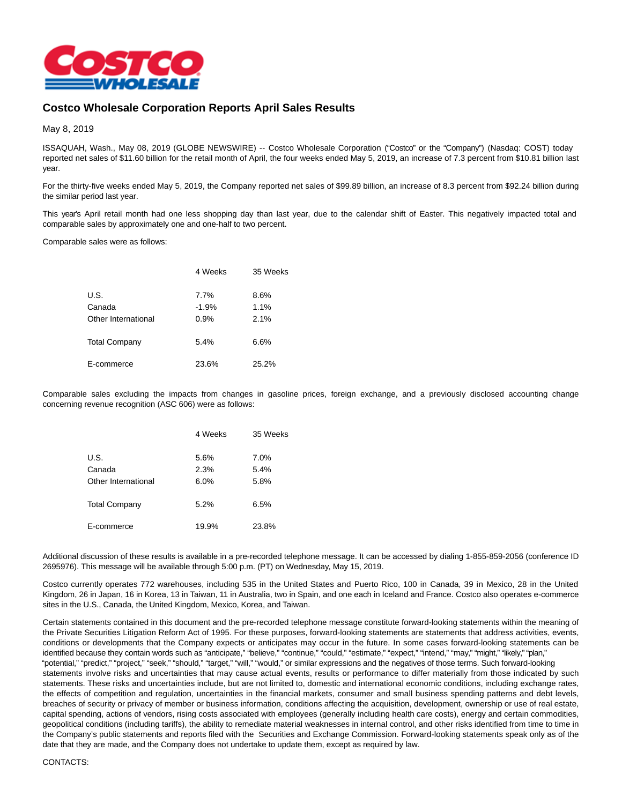

## **Costco Wholesale Corporation Reports April Sales Results**

May 8, 2019

ISSAQUAH, Wash., May 08, 2019 (GLOBE NEWSWIRE) -- Costco Wholesale Corporation ("Costco" or the "Company") (Nasdaq: COST) today reported net sales of \$11.60 billion for the retail month of April, the four weeks ended May 5, 2019, an increase of 7.3 percent from \$10.81 billion last year.

For the thirty-five weeks ended May 5, 2019, the Company reported net sales of \$99.89 billion, an increase of 8.3 percent from \$92.24 billion during the similar period last year.

This year's April retail month had one less shopping day than last year, due to the calendar shift of Easter. This negatively impacted total and comparable sales by approximately one and one-half to two percent.

Comparable sales were as follows:

|                      | 4 Weeks | 35 Weeks |
|----------------------|---------|----------|
| U.S.                 | 7.7%    | 8.6%     |
| Canada               | $-1.9%$ | 1.1%     |
| Other International  | 0.9%    | 2.1%     |
| <b>Total Company</b> | 5.4%    | 6.6%     |
| E-commerce           | 23.6%   | 25.2%    |

Comparable sales excluding the impacts from changes in gasoline prices, foreign exchange, and a previously disclosed accounting change concerning revenue recognition (ASC 606) were as follows:

|                      | 4 Weeks | 35 Weeks |
|----------------------|---------|----------|
| U.S.                 | 5.6%    | 7.0%     |
| Canada               | 2.3%    | 5.4%     |
| Other International  | 6.0%    | 5.8%     |
| <b>Total Company</b> | 5.2%    | 6.5%     |
| E-commerce           | 19.9%   | 23.8%    |

Additional discussion of these results is available in a pre-recorded telephone message. It can be accessed by dialing 1-855-859-2056 (conference ID 2695976). This message will be available through 5:00 p.m. (PT) on Wednesday, May 15, 2019.

Costco currently operates 772 warehouses, including 535 in the United States and Puerto Rico, 100 in Canada, 39 in Mexico, 28 in the United Kingdom, 26 in Japan, 16 in Korea, 13 in Taiwan, 11 in Australia, two in Spain, and one each in Iceland and France. Costco also operates e-commerce sites in the U.S., Canada, the United Kingdom, Mexico, Korea, and Taiwan.

Certain statements contained in this document and the pre-recorded telephone message constitute forward-looking statements within the meaning of the Private Securities Litigation Reform Act of 1995. For these purposes, forward-looking statements are statements that address activities, events, conditions or developments that the Company expects or anticipates may occur in the future. In some cases forward-looking statements can be identified because they contain words such as "anticipate," "believe," "continue," "could," "estimate," "expect," "intend," "may," "might," "likely," "plan," "potential," "predict," "project," "seek," "should," "target," "will," "would," or similar expressions and the negatives of those terms. Such forward-looking statements involve risks and uncertainties that may cause actual events, results or performance to differ materially from those indicated by such statements. These risks and uncertainties include, but are not limited to, domestic and international economic conditions, including exchange rates, the effects of competition and regulation, uncertainties in the financial markets, consumer and small business spending patterns and debt levels, breaches of security or privacy of member or business information, conditions affecting the acquisition, development, ownership or use of real estate, capital spending, actions of vendors, rising costs associated with employees (generally including health care costs), energy and certain commodities, geopolitical conditions (including tariffs), the ability to remediate material weaknesses in internal control, and other risks identified from time to time in the Company's public statements and reports filed with the Securities and Exchange Commission. Forward-looking statements speak only as of the date that they are made, and the Company does not undertake to update them, except as required by law.

CONTACTS: